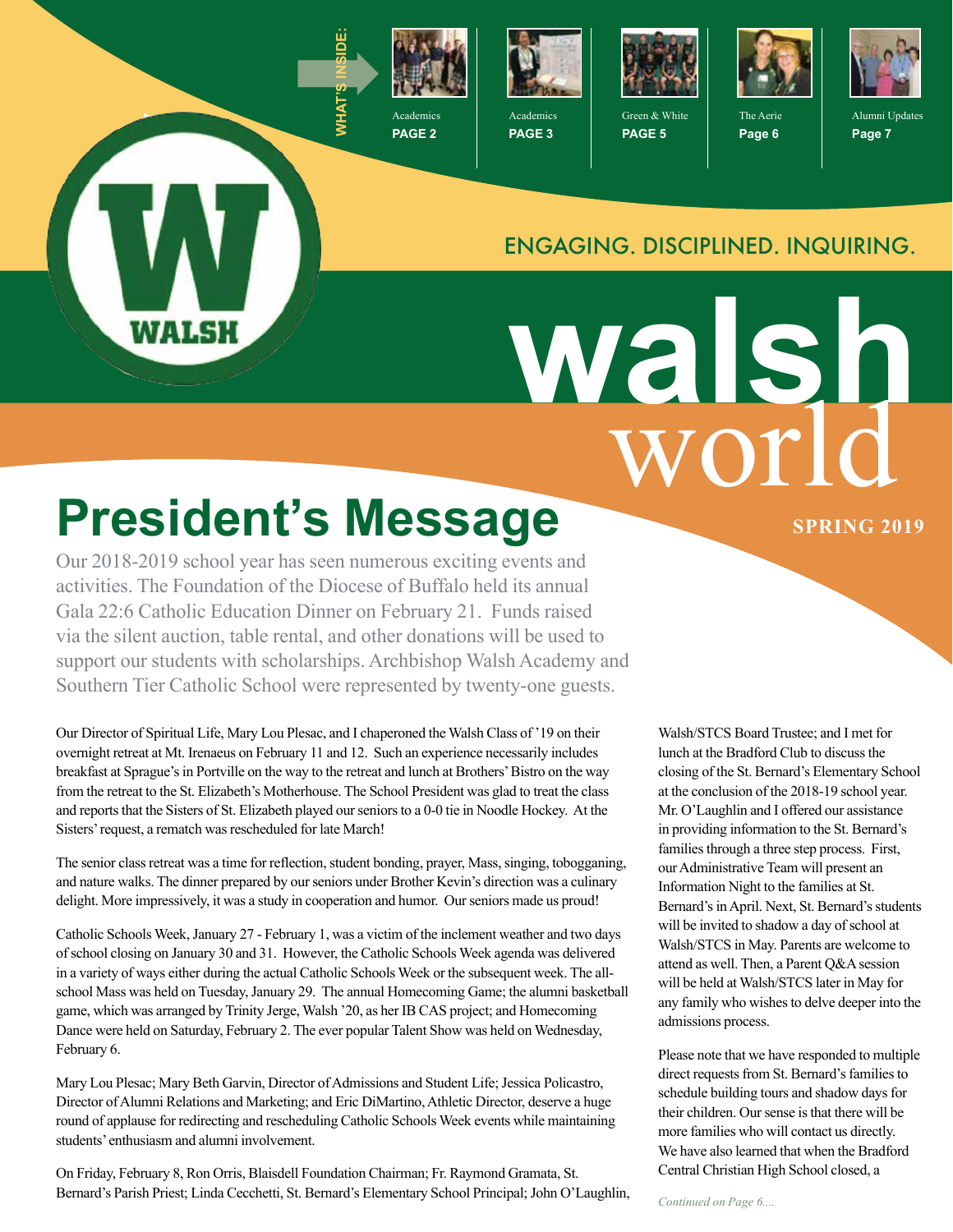

**PAGE 2**



**PAGE 3**



Green & White **PAGE 5**



The Aerie **Page 6**



Alumni Updates **Page 7**

#### ENGAGING. DISCIPLINED. INQUIRING.

world **walsh**

# **President's Message SPRING 2019**

WALSH

Our 2018-2019 school year has seen numerous exciting events and activities. The Foundation of the Diocese of Buffalo held its annual Gala 22:6 Catholic Education Dinner on February 21. Funds raised via the silent auction, table rental, and other donations will be used to support our students with scholarships. Archbishop Walsh Academy and Southern Tier Catholic School were represented by twenty-one guests.

Our Director of Spiritual Life, Mary Lou Plesac, and I chaperoned the Walsh Class of '19 on their overnight retreat at Mt. Irenaeus on February 11 and 12. Such an experience necessarily includes breakfast at Sprague's in Portville on the way to the retreat and lunch at Brothers' Bistro on the way from the retreat to the St. Elizabeth's Motherhouse. The School President was glad to treat the class and reports that the Sisters of St. Elizabeth played our seniors to a 0-0 tie in Noodle Hockey. At the Sisters' request, a rematch was rescheduled for late March!

The senior class retreat was a time for reflection, student bonding, prayer, Mass, singing, tobogganing, and nature walks. The dinner prepared by our seniors under Brother Kevin's direction was a culinary delight. More impressively, it was a study in cooperation and humor. Our seniors made us proud!

Catholic Schools Week, January 27 - February 1, was a victim of the inclement weather and two days of school closing on January 30 and 31. However, the Catholic Schools Week agenda was delivered in a variety of ways either during the actual Catholic Schools Week or the subsequent week. The allschool Mass was held on Tuesday, January 29. The annual Homecoming Game; the alumni basketball game, which was arranged by Trinity Jerge, Walsh '20, as her IB CAS project; and Homecoming Dance were held on Saturday, February 2. The ever popular Talent Show was held on Wednesday, February 6.

Mary Lou Plesac; Mary Beth Garvin, Director of Admissions and Student Life; Jessica Policastro, Director of Alumni Relations and Marketing; and Eric DiMartino, Athletic Director, deserve a huge round of applause for redirecting and rescheduling Catholic Schools Week events while maintaining students' enthusiasm and alumni involvement.

On Friday, February 8, Ron Orris, Blaisdell Foundation Chairman; Fr. Raymond Gramata, St. Bernard's Parish Priest; Linda Cecchetti, St. Bernard's Elementary School Principal; John O'Laughlin,

Walsh/STCS Board Trustee; and I met for lunch at the Bradford Club to discuss the closing of the St. Bernard's Elementary School at the conclusion of the 2018-19 school year. Mr. O'Laughlin and I offered our assistance in providing information to the St. Bernard's families through a three step process. First, our Administrative Team will present an Information Night to the families at St. Bernard's in April. Next, St. Bernard's students will be invited to shadow a day of school at Walsh/STCS in May. Parents are welcome to attend as well. Then, a Parent Q&A session will be held at Walsh/STCS later in May for any family who wishes to delve deeper into the admissions process.

Please note that we have responded to multiple direct requests from St. Bernard's families to schedule building tours and shadow days for their children. Our sense is that there will be more families who will contact us directly. We have also learned that when the Bradford Central Christian High School closed, a

*Continued on Page 6....*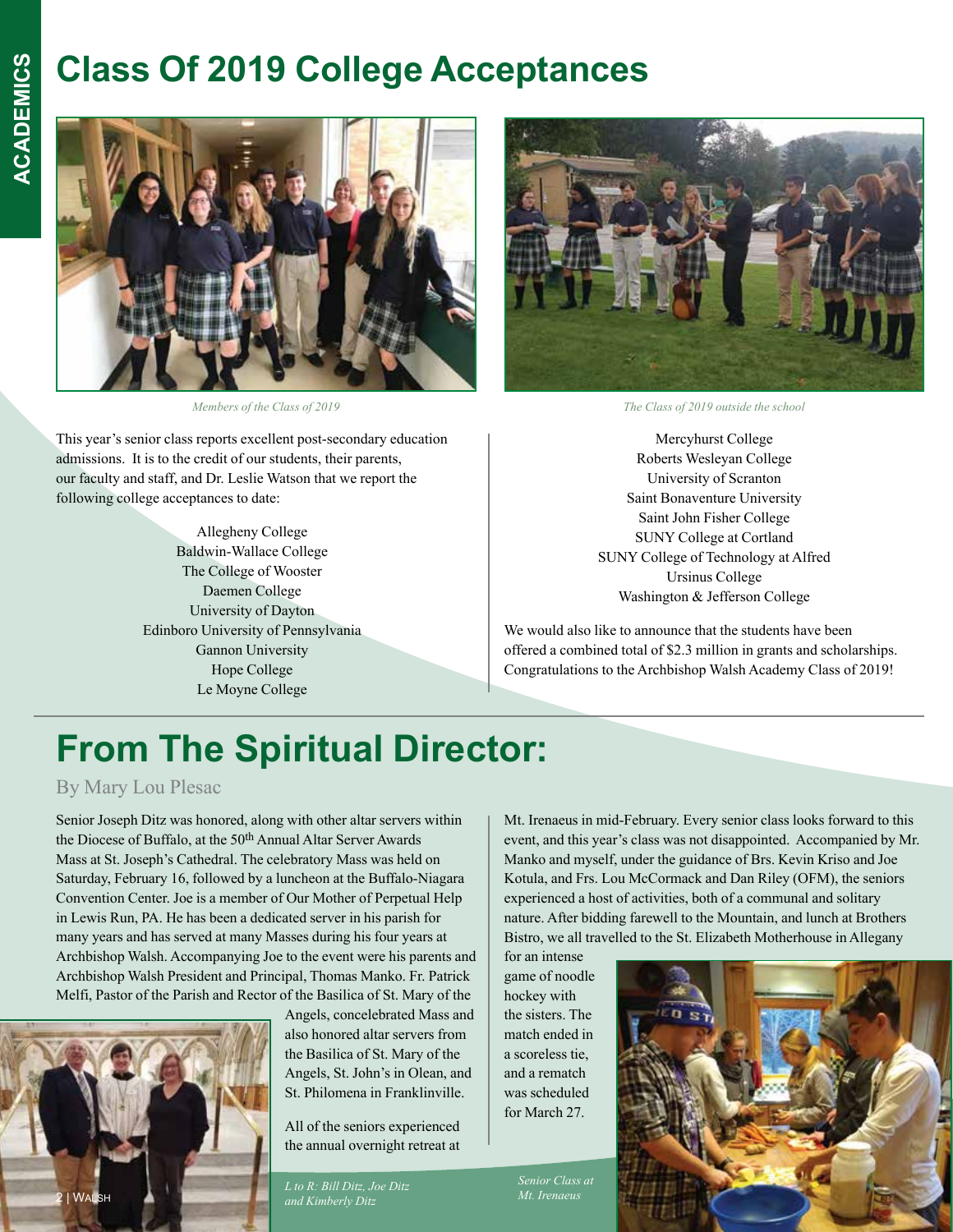#### **Class Of 2019 College Acceptances**



*Members of the Class of 2019*

This year's senior class reports excellent post-secondary education admissions. It is to the credit of our students, their parents, our faculty and staff, and Dr. Leslie Watson that we report the following college acceptances to date:

> Allegheny College Baldwin-Wallace College The College of Wooster Daemen College University of Dayton Edinboro University of Pennsylvania Gannon University Hope College Le Moyne College



*The Class of 2019 outside the school*

Mercyhurst College Roberts Wesleyan College University of Scranton Saint Bonaventure University Saint John Fisher College SUNY College at Cortland SUNY College of Technology at Alfred Ursinus College Washington & Jefferson College

We would also like to announce that the students have been offered a combined total of \$2.3 million in grants and scholarships. Congratulations to the Archbishop Walsh Academy Class of 2019!

## **From The Spiritual Director:**

By Mary Lou Plesac

Senior Joseph Ditz was honored, along with other altar servers within the Diocese of Buffalo, at the 50th Annual Altar Server Awards Mass at St. Joseph's Cathedral. The celebratory Mass was held on Saturday, February 16, followed by a luncheon at the Buffalo-Niagara Convention Center. Joe is a member of Our Mother of Perpetual Help in Lewis Run, PA. He has been a dedicated server in his parish for many years and has served at many Masses during his four years at Archbishop Walsh. Accompanying Joe to the event were his parents and Archbishop Walsh President and Principal, Thomas Manko. Fr. Patrick Melfi, Pastor of the Parish and Rector of the Basilica of St. Mary of the



Angels, concelebrated Mass and also honored altar servers from the Basilica of St. Mary of the Angels, St. John's in Olean, and St. Philomena in Franklinville.

All of the seniors experienced the annual overnight retreat at

*Mt. Irenaeus L to R: Bill Ditz, Joe Ditz and Kimberly Ditz*

Mt. Irenaeus in mid-February. Every senior class looks forward to this event, and this year's class was not disappointed. Accompanied by Mr. Manko and myself, under the guidance of Brs. Kevin Kriso and Joe Kotula, and Frs. Lou McCormack and Dan Riley (OFM), the seniors experienced a host of activities, both of a communal and solitary nature. After bidding farewell to the Mountain, and lunch at Brothers Bistro, we all travelled to the St. Elizabeth Motherhouse in Allegany

for an intense game of noodle hockey with the sisters. The match ended in a scoreless tie, and a rematch was scheduled for March 27.

*Senior Class at* 

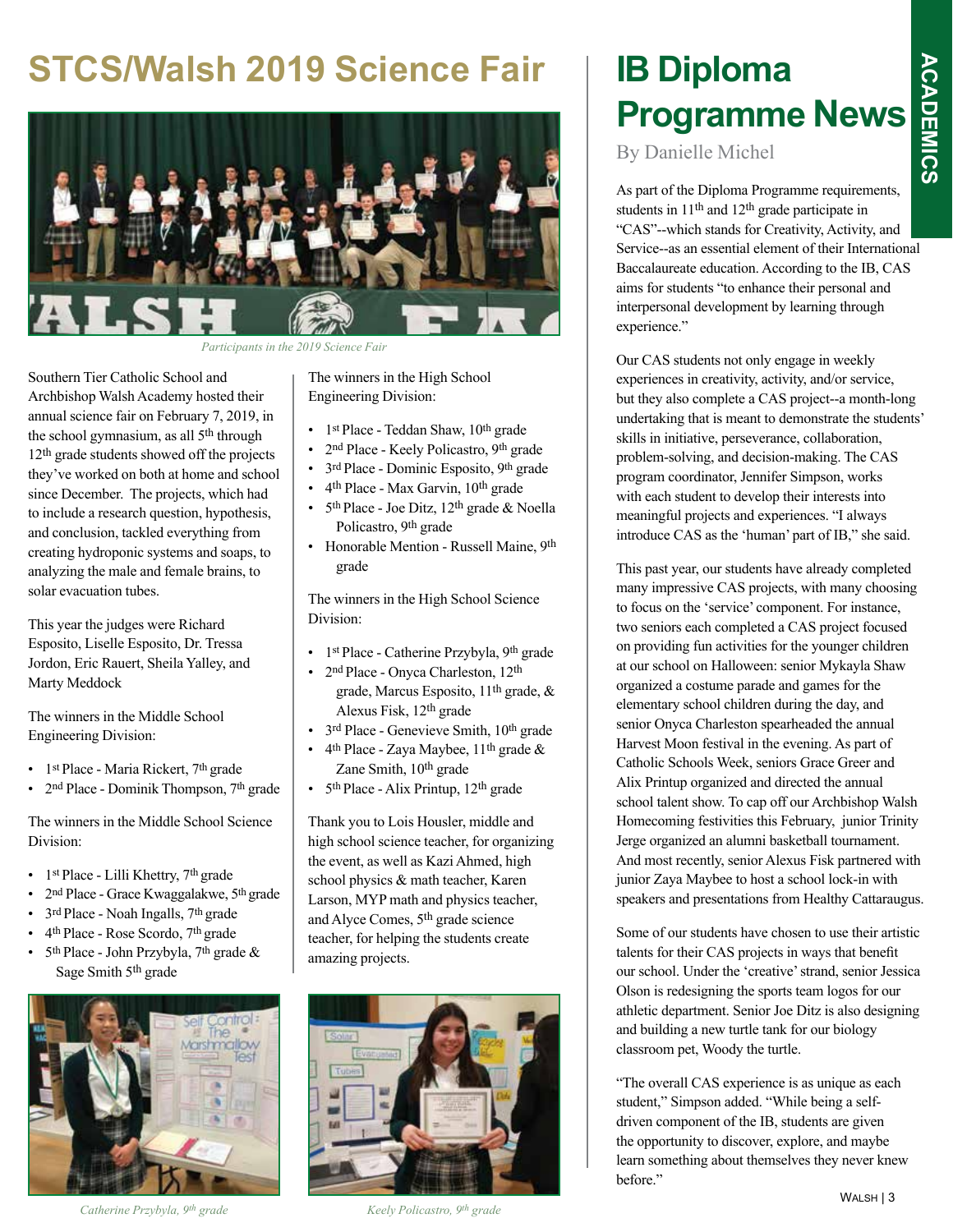# **ACADEMICS ACADEMICS**

#### **STCS/Walsh 2019 Science Fair**



*Participants in the 2019 Science Fair*

Southern Tier Catholic School and Archbishop Walsh Academy hosted their annual science fair on February 7, 2019, in the school gymnasium, as all 5th through 12th grade students showed off the projects they've worked on both at home and school since December. The projects, which had to include a research question, hypothesis, and conclusion, tackled everything from creating hydroponic systems and soaps, to analyzing the male and female brains, to solar evacuation tubes.

This year the judges were Richard Esposito, Liselle Esposito, Dr. Tressa Jordon, Eric Rauert, Sheila Yalley, and Marty Meddock

The winners in the Middle School Engineering Division:

- 1st Place Maria Rickert, 7th grade
- 2<sup>nd</sup> Place Dominik Thompson, 7<sup>th</sup> grade

The winners in the Middle School Science Division:

- 1<sup>st</sup> Place Lilli Khettry, 7<sup>th</sup> grade
- 2<sup>nd</sup> Place Grace Kwaggalakwe, 5<sup>th</sup> grade
- 3<sup>rd</sup> Place Noah Ingalls, 7<sup>th</sup> grade
- 4th Place Rose Scordo, 7th grade
- 5<sup>th</sup> Place John Przybyla, 7<sup>th</sup> grade  $\&$ Sage Smith 5th grade



*Catherine Przybyla, 9th grade Keely Policastro, 9th grade*

The winners in the High School Engineering Division:

- 1st Place Teddan Shaw,  $10^{th}$  grade
- 2<sup>nd</sup> Place Keely Policastro, 9<sup>th</sup> grade
- 3rd Place Dominic Esposito, 9th grade
- 4th Place Max Garvin, 10th grade
- $5<sup>th</sup> Place Joe Ditz, 12<sup>th</sup> grade & Noella$ Policastro, 9th grade
- Honorable Mention Russell Maine, 9th grade

The winners in the High School Science Division:

- 1<sup>st</sup> Place Catherine Przybyla, 9<sup>th</sup> grade
- 2<sup>nd</sup> Place Onyca Charleston, 12<sup>th</sup> grade, Marcus Esposito, 11th grade, & Alexus Fisk, 12th grade
- 3<sup>rd</sup> Place Genevieve Smith, 10<sup>th</sup> grade
- $4<sup>th</sup> Place Zaya Maybee, 11<sup>th</sup> grade &$ Zane Smith, 10th grade
- 5<sup>th</sup> Place Alix Printup, 12<sup>th</sup> grade

Thank you to Lois Housler, middle and high school science teacher, for organizing the event, as well as Kazi Ahmed, high school physics & math teacher, Karen Larson, MYP math and physics teacher, and Alyce Comes, 5th grade science teacher, for helping the students create amazing projects.



### **IB Diploma Programme News**

By Danielle Michel

As part of the Diploma Programme requirements, students in 11th and 12th grade participate in "CAS"--which stands for Creativity, Activity, and Service--as an essential element of their International Baccalaureate education. According to the IB, CAS aims for students "to enhance their personal and interpersonal development by learning through experience."

Our CAS students not only engage in weekly experiences in creativity, activity, and/or service, but they also complete a CAS project--a month-long undertaking that is meant to demonstrate the students' skills in initiative, perseverance, collaboration, problem-solving, and decision-making. The CAS program coordinator, Jennifer Simpson, works with each student to develop their interests into meaningful projects and experiences. "I always introduce CAS as the 'human' part of IB," she said.

This past year, our students have already completed many impressive CAS projects, with many choosing to focus on the 'service' component. For instance, two seniors each completed a CAS project focused on providing fun activities for the younger children at our school on Halloween: senior Mykayla Shaw organized a costume parade and games for the elementary school children during the day, and senior Onyca Charleston spearheaded the annual Harvest Moon festival in the evening. As part of Catholic Schools Week, seniors Grace Greer and Alix Printup organized and directed the annual school talent show. To cap off our Archbishop Walsh Homecoming festivities this February, junior Trinity Jerge organized an alumni basketball tournament. And most recently, senior Alexus Fisk partnered with junior Zaya Maybee to host a school lock-in with speakers and presentations from Healthy Cattaraugus.

Some of our students have chosen to use their artistic talents for their CAS projects in ways that benefit our school. Under the 'creative' strand, senior Jessica Olson is redesigning the sports team logos for our athletic department. Senior Joe Ditz is also designing and building a new turtle tank for our biology classroom pet, Woody the turtle.

"The overall CAS experience is as unique as each student," Simpson added. "While being a selfdriven component of the IB, students are given the opportunity to discover, explore, and maybe learn something about themselves they never knew before."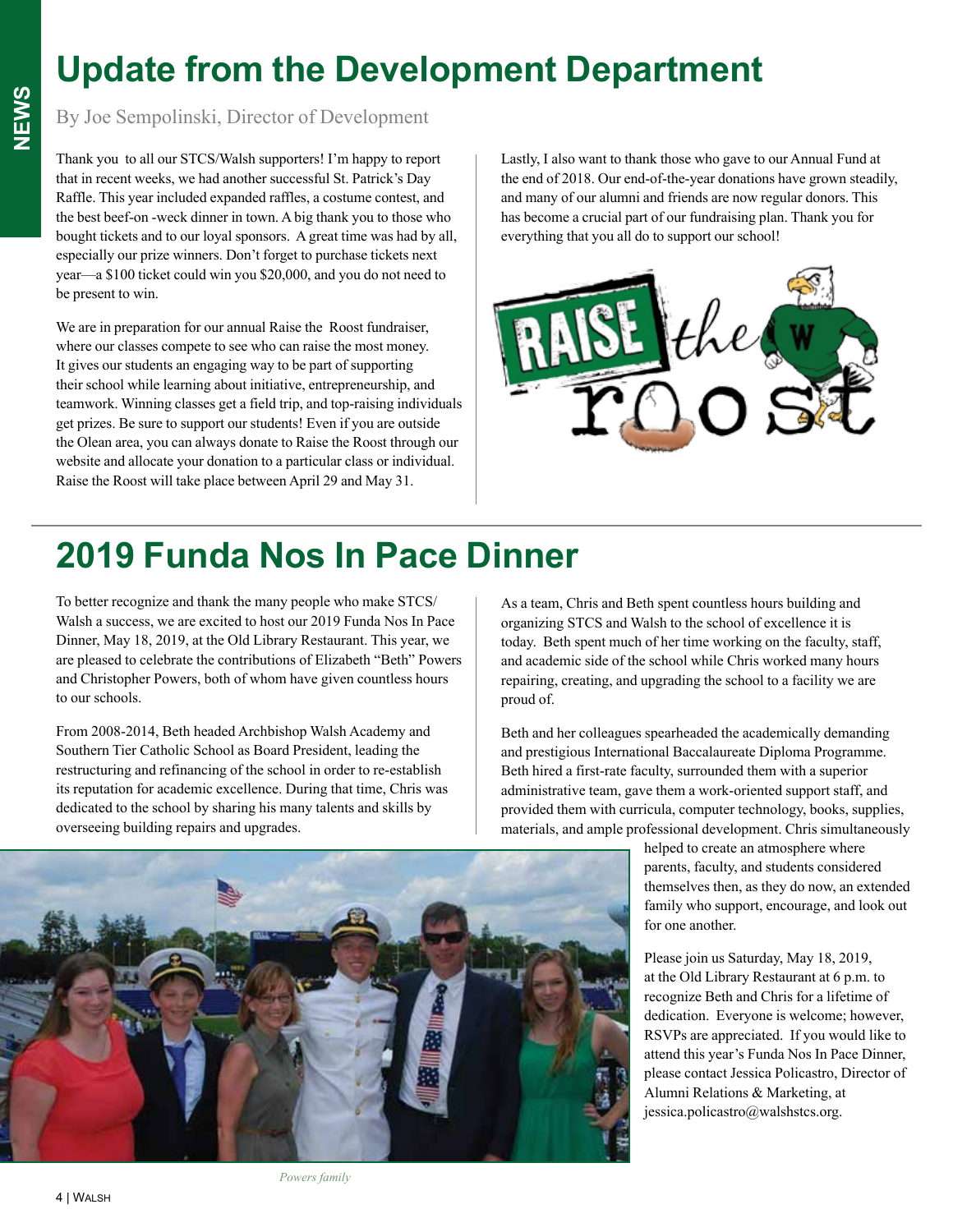#### **Update from the Development Department**

#### By Joe Sempolinski, Director of Development

Thank you to all our STCS/Walsh supporters! I'm happy to report that in recent weeks, we had another successful St. Patrick's Day Raffle. This year included expanded raffles, a costume contest, and the best beef-on -weck dinner in town. A big thank you to those who bought tickets and to our loyal sponsors. A great time was had by all, especially our prize winners. Don't forget to purchase tickets next year—a \$100 ticket could win you \$20,000, and you do not need to be present to win.

We are in preparation for our annual Raise the Roost fundraiser, where our classes compete to see who can raise the most money. It gives our students an engaging way to be part of supporting their school while learning about initiative, entrepreneurship, and teamwork. Winning classes get a field trip, and top-raising individuals get prizes. Be sure to support our students! Even if you are outside the Olean area, you can always donate to Raise the Roost through our website and allocate your donation to a particular class or individual. Raise the Roost will take place between April 29 and May 31.

Lastly, I also want to thank those who gave to our Annual Fund at the end of 2018. Our end-of-the-year donations have grown steadily, and many of our alumni and friends are now regular donors. This has become a crucial part of our fundraising plan. Thank you for everything that you all do to support our school!



#### **2019 Funda Nos In Pace Dinner**

To better recognize and thank the many people who make STCS/ Walsh a success, we are excited to host our 2019 Funda Nos In Pace Dinner, May 18, 2019, at the Old Library Restaurant. This year, we are pleased to celebrate the contributions of Elizabeth "Beth" Powers and Christopher Powers, both of whom have given countless hours to our schools.

From 2008-2014, Beth headed Archbishop Walsh Academy and Southern Tier Catholic School as Board President, leading the restructuring and refinancing of the school in order to re-establish its reputation for academic excellence. During that time, Chris was dedicated to the school by sharing his many talents and skills by overseeing building repairs and upgrades.

As a team, Chris and Beth spent countless hours building and organizing STCS and Walsh to the school of excellence it is today. Beth spent much of her time working on the faculty, staff, and academic side of the school while Chris worked many hours repairing, creating, and upgrading the school to a facility we are proud of.

Beth and her colleagues spearheaded the academically demanding and prestigious International Baccalaureate Diploma Programme. Beth hired a first-rate faculty, surrounded them with a superior administrative team, gave them a work-oriented support staff, and provided them with curricula, computer technology, books, supplies, materials, and ample professional development. Chris simultaneously

> helped to create an atmosphere where parents, faculty, and students considered themselves then, as they do now, an extended family who support, encourage, and look out for one another.

> Please join us Saturday, May 18, 2019, at the Old Library Restaurant at 6 p.m. to recognize Beth and Chris for a lifetime of dedication. Everyone is welcome; however, RSVPs are appreciated. If you would like to attend this year's Funda Nos In Pace Dinner, please contact Jessica Policastro, Director of Alumni Relations & Marketing, at jessica.policastro@walshstcs.org.

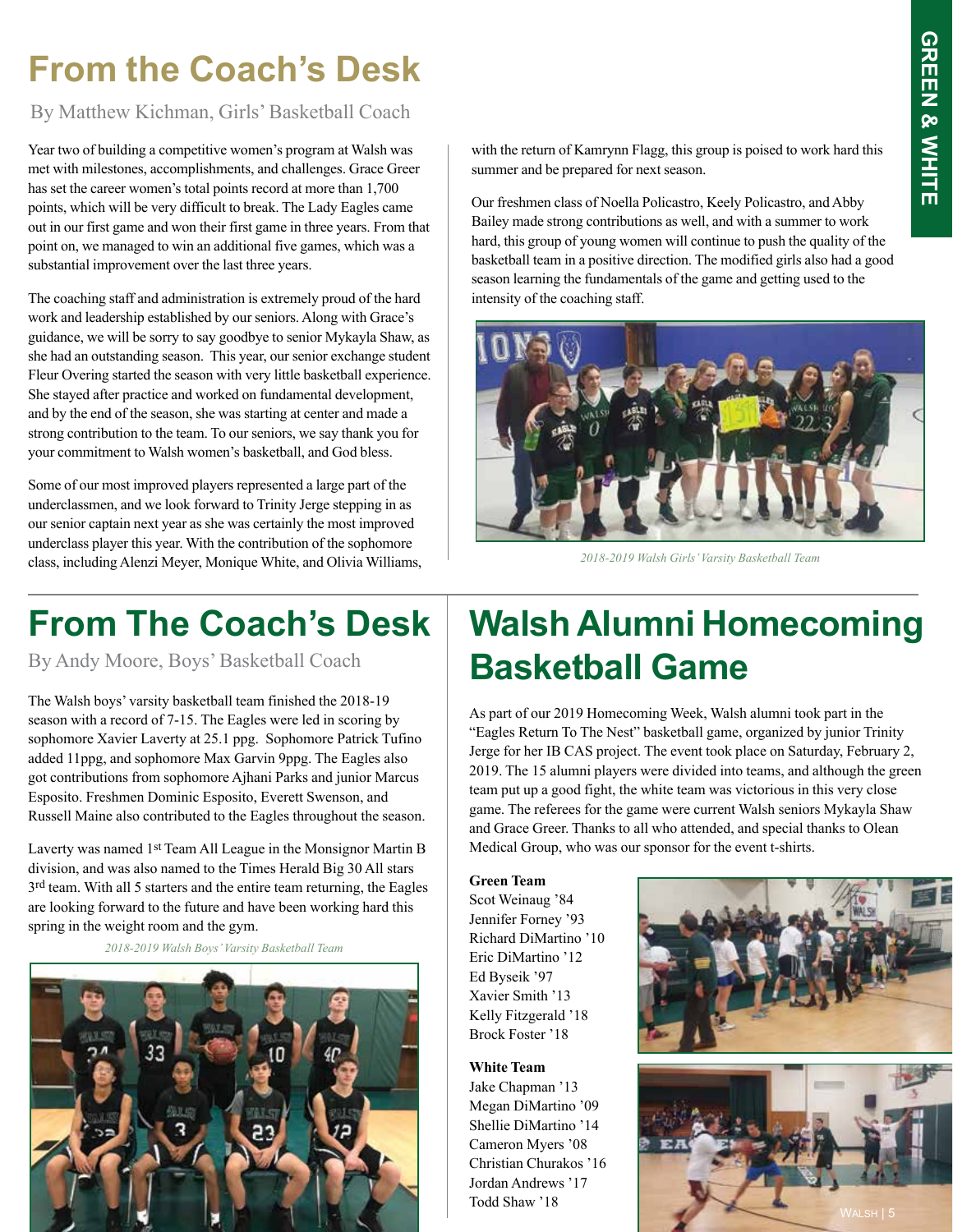#### **From the Coach's Desk**

By Matthew Kichman, Girls' Basketball Coach

Year two of building a competitive women's program at Walsh was met with milestones, accomplishments, and challenges. Grace Greer has set the career women's total points record at more than 1,700 points, which will be very difficult to break. The Lady Eagles came out in our first game and won their first game in three years. From that point on, we managed to win an additional five games, which was a substantial improvement over the last three years.

The coaching staff and administration is extremely proud of the hard work and leadership established by our seniors. Along with Grace's guidance, we will be sorry to say goodbye to senior Mykayla Shaw, as she had an outstanding season. This year, our senior exchange student Fleur Overing started the season with very little basketball experience. She stayed after practice and worked on fundamental development, and by the end of the season, she was starting at center and made a strong contribution to the team. To our seniors, we say thank you for your commitment to Walsh women's basketball, and God bless.

Some of our most improved players represented a large part of the underclassmen, and we look forward to Trinity Jerge stepping in as our senior captain next year as she was certainly the most improved underclass player this year. With the contribution of the sophomore class, including Alenzi Meyer, Monique White, and Olivia Williams,

#### **From The Coach's Desk**

By Andy Moore, Boys' Basketball Coach

The Walsh boys' varsity basketball team finished the 2018-19 season with a record of 7-15. The Eagles were led in scoring by sophomore Xavier Laverty at 25.1 ppg. Sophomore Patrick Tufino added 11ppg, and sophomore Max Garvin 9ppg. The Eagles also got contributions from sophomore Ajhani Parks and junior Marcus Esposito. Freshmen Dominic Esposito, Everett Swenson, and Russell Maine also contributed to the Eagles throughout the season.

Laverty was named 1st Team All League in the Monsignor Martin B division, and was also named to the Times Herald Big 30 All stars 3<sup>rd</sup> team. With all 5 starters and the entire team returning, the Eagles are looking forward to the future and have been working hard this spring in the weight room and the gym.

*2018-2019 Walsh Boys' Varsity Basketball Team*



with the return of Kamrynn Flagg, this group is poised to work hard this summer and be prepared for next season.

Our freshmen class of Noella Policastro, Keely Policastro, and Abby Bailey made strong contributions as well, and with a summer to work hard, this group of young women will continue to push the quality of the basketball team in a positive direction. The modified girls also had a good season learning the fundamentals of the game and getting used to the intensity of the coaching staff.



*2018-2019 Walsh Girls' Varsity Basketball Team*

#### **Walsh Alumni Homecoming Basketball Game**

As part of our 2019 Homecoming Week, Walsh alumni took part in the "Eagles Return To The Nest" basketball game, organized by junior Trinity Jerge for her IB CAS project. The event took place on Saturday, February 2, 2019. The 15 alumni players were divided into teams, and although the green team put up a good fight, the white team was victorious in this very close game. The referees for the game were current Walsh seniors Mykayla Shaw and Grace Greer. Thanks to all who attended, and special thanks to Olean Medical Group, who was our sponsor for the event t-shirts.

#### **Green Team**

Scot Weinaug '84 Jennifer Forney '93 Richard DiMartino '10 Eric DiMartino '12 Ed Byseik '97 Xavier Smith '13 Kelly Fitzgerald '18 Brock Foster '18

**White Team** Jake Chapman '13 Megan DiMartino '09 Shellie DiMartino '14 Cameron Myers '08 Christian Churakos '16 Jordan Andrews '17 Todd Shaw '18

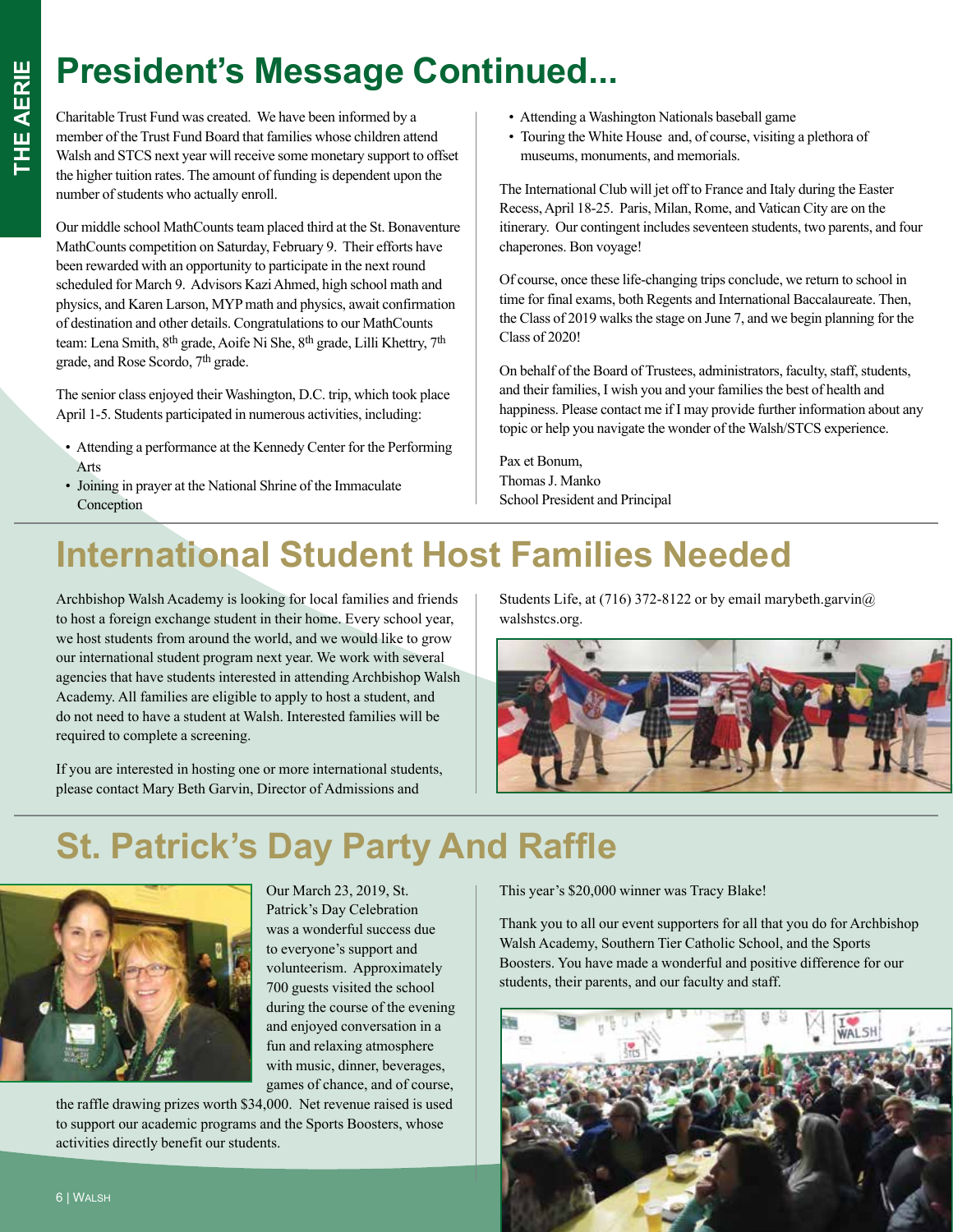## **President's Message Continued...**

Charitable Trust Fund was created. We have been informed by a member of the Trust Fund Board that families whose children attend Walsh and STCS next year will receive some monetary support to offset the higher tuition rates. The amount of funding is dependent upon the number of students who actually enroll.

Our middle school MathCounts team placed third at the St. Bonaventure MathCounts competition on Saturday, February 9. Their efforts have been rewarded with an opportunity to participate in the next round scheduled for March 9. Advisors Kazi Ahmed, high school math and physics, and Karen Larson, MYP math and physics, await confirmation of destination and other details. Congratulations to our MathCounts team: Lena Smith, 8<sup>th</sup> grade, Aoife Ni She, 8<sup>th</sup> grade, Lilli Khettry, 7<sup>th</sup> grade, and Rose Scordo, 7th grade.

The senior class enjoyed their Washington, D.C. trip, which took place April 1-5. Students participated in numerous activities, including:

- Attending a performance at the Kennedy Center for the Performing Arts
- Joining in prayer at the National Shrine of the Immaculate Conception
- Attending a Washington Nationals baseball game
- Touring the White House and, of course, visiting a plethora of museums, monuments, and memorials.

The International Club will jet off to France and Italy during the Easter Recess, April 18-25. Paris, Milan, Rome, and Vatican City are on the itinerary. Our contingent includes seventeen students, two parents, and four chaperones. Bon voyage!

Of course, once these life-changing trips conclude, we return to school in time for final exams, both Regents and International Baccalaureate. Then, the Class of 2019 walks the stage on June 7, and we begin planning for the Class of 2020!

On behalf of the Board of Trustees, administrators, faculty, staff, students, and their families, I wish you and your families the best of health and happiness. Please contact me if I may provide further information about any topic or help you navigate the wonder of the Walsh/STCS experience.

Pax et Bonum, Thomas J. Manko School President and Principal

### **International Student Host Families Needed**

Archbishop Walsh Academy is looking for local families and friends to host a foreign exchange student in their home. Every school year, we host students from around the world, and we would like to grow our international student program next year. We work with several agencies that have students interested in attending Archbishop Walsh Academy. All families are eligible to apply to host a student, and do not need to have a student at Walsh. Interested families will be required to complete a screening.

If you are interested in hosting one or more international students, please contact Mary Beth Garvin, Director of Admissions and

Students Life, at (716) 372-8122 or by email marybeth.garvin@ walshstcs.org.



#### **St. Patrick's Day Party And Raffle**



Our March 23, 2019, St. Patrick's Day Celebration was a wonderful success due to everyone's support and volunteerism. Approximately 700 guests visited the school during the course of the evening and enjoyed conversation in a fun and relaxing atmosphere with music, dinner, beverages, games of chance, and of course,

the raffle drawing prizes worth \$34,000. Net revenue raised is used to support our academic programs and the Sports Boosters, whose activities directly benefit our students.

This year's \$20,000 winner was Tracy Blake!

Thank you to all our event supporters for all that you do for Archbishop Walsh Academy, Southern Tier Catholic School, and the Sports Boosters. You have made a wonderful and positive difference for our students, their parents, and our faculty and staff.

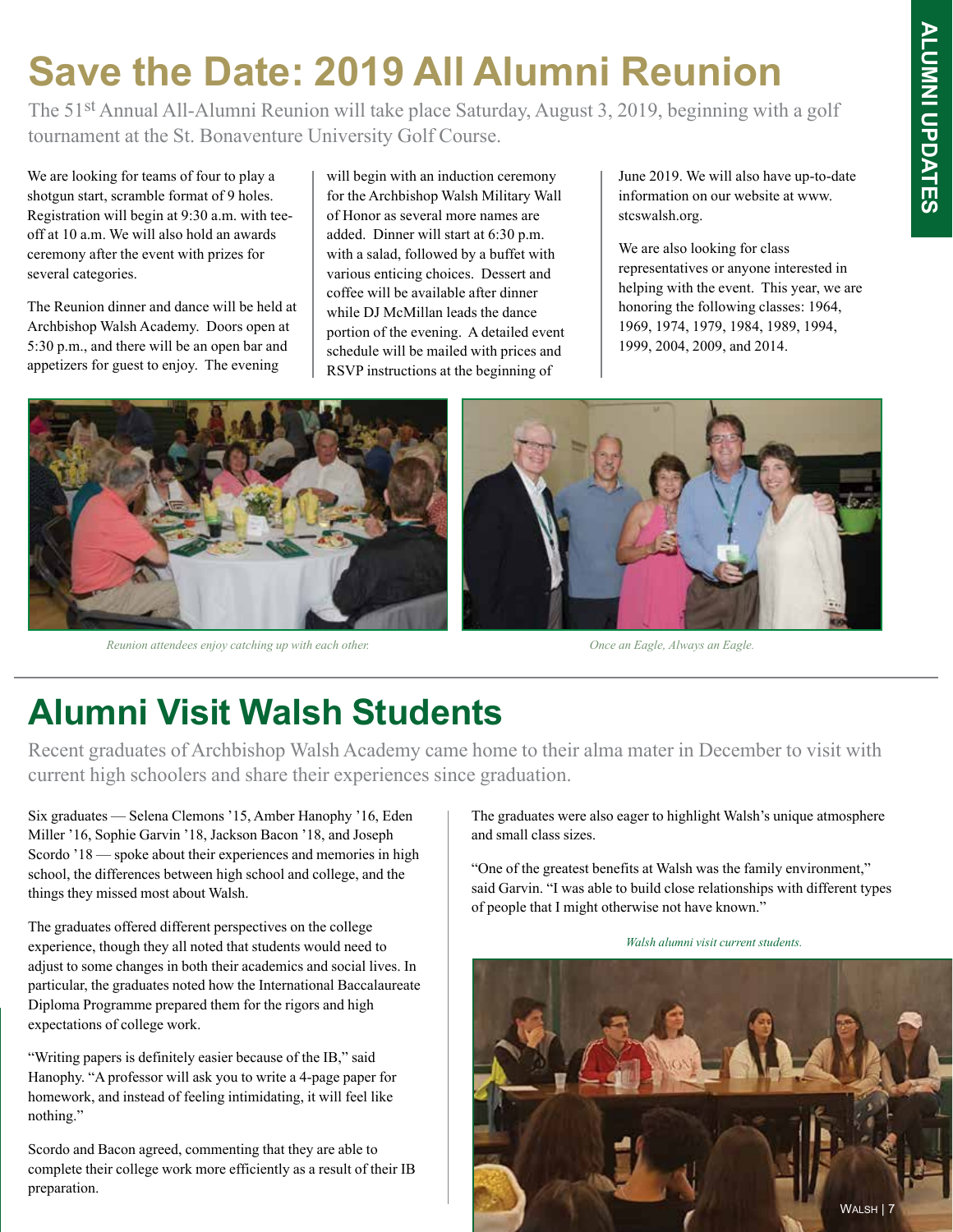## **Save the Date: 2019 All Alumni Reunion**

The 51st Annual All-Alumni Reunion will take place Saturday, August 3, 2019, beginning with a golf tournament at the St. Bonaventure University Golf Course.

We are looking for teams of four to play a shotgun start, scramble format of 9 holes. Registration will begin at 9:30 a.m. with teeoff at 10 a.m. We will also hold an awards ceremony after the event with prizes for several categories.

The Reunion dinner and dance will be held at Archbishop Walsh Academy. Doors open at 5:30 p.m., and there will be an open bar and appetizers for guest to enjoy. The evening

will begin with an induction ceremony for the Archbishop Walsh Military Wall of Honor as several more names are added. Dinner will start at 6:30 p.m. with a salad, followed by a buffet with various enticing choices. Dessert and coffee will be available after dinner while DJ McMillan leads the dance portion of the evening. A detailed event schedule will be mailed with prices and RSVP instructions at the beginning of

June 2019. We will also have up-to-date information on our website at www. stcswalsh.org.

We are also looking for class representatives or anyone interested in helping with the event. This year, we are honoring the following classes: 1964, 1969, 1974, 1979, 1984, 1989, 1994, 1999, 2004, 2009, and 2014.



*Reunion attendees enjoy catching up with each other.* 

*Once an Eagle, Always an Eagle.*

#### **Alumni Visit Walsh Students**

Recent graduates of Archbishop Walsh Academy came home to their alma mater in December to visit with current high schoolers and share their experiences since graduation.

Six graduates — Selena Clemons '15, Amber Hanophy '16, Eden Miller '16, Sophie Garvin '18, Jackson Bacon '18, and Joseph Scordo '18 — spoke about their experiences and memories in high school, the differences between high school and college, and the things they missed most about Walsh.

The graduates offered different perspectives on the college experience, though they all noted that students would need to adjust to some changes in both their academics and social lives. In particular, the graduates noted how the International Baccalaureate Diploma Programme prepared them for the rigors and high expectations of college work.

"Writing papers is definitely easier because of the IB," said Hanophy. "A professor will ask you to write a 4-page paper for homework, and instead of feeling intimidating, it will feel like nothing."

Scordo and Bacon agreed, commenting that they are able to complete their college work more efficiently as a result of their IB preparation.

The graduates were also eager to highlight Walsh's unique atmosphere and small class sizes.

"One of the greatest benefits at Walsh was the family environment," said Garvin. "I was able to build close relationships with different types of people that I might otherwise not have known."

*Walsh alumni visit current students.*